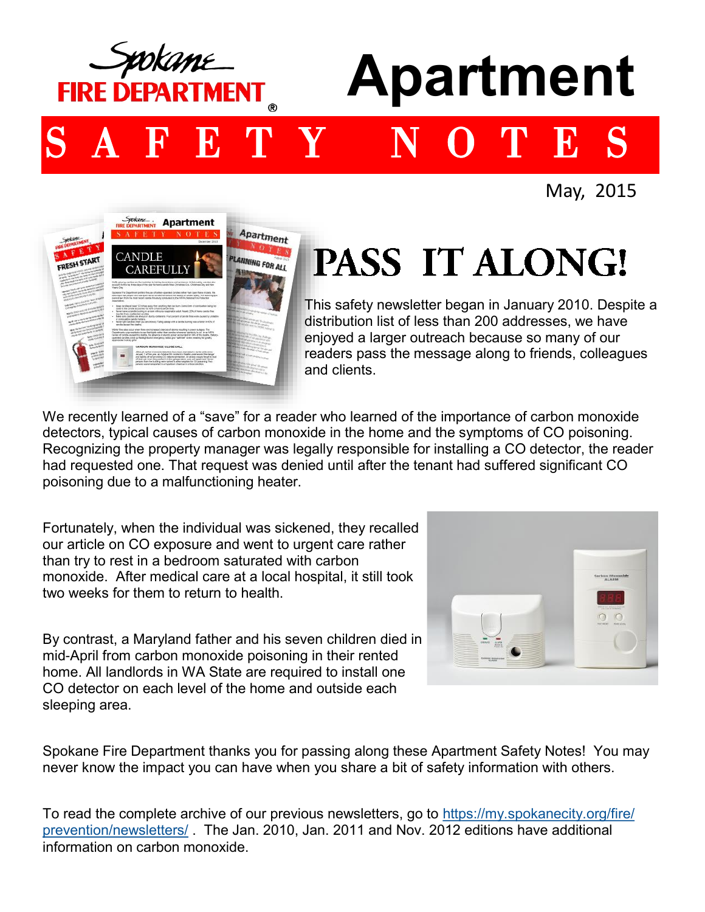

May, 2015



## PASS IT ALONG!

This safety newsletter began in January 2010. Despite a distribution list of less than 200 addresses, we have enjoyed a larger outreach because so many of our readers pass the message along to friends, colleagues and clients.

We recently learned of a "save" for a reader who learned of the importance of carbon monoxide detectors, typical causes of carbon monoxide in the home and the symptoms of CO poisoning. Recognizing the property manager was legally responsible for installing a CO detector, the reader had requested one. That request was denied until after the tenant had suffered significant CO poisoning due to a malfunctioning heater.

Fortunately, when the individual was sickened, they recalled our article on CO exposure and went to urgent care rather than try to rest in a bedroom saturated with carbon monoxide. After medical care at a local hospital, it still took two weeks for them to return to health.

By contrast, a Maryland father and his seven children died in mid-April from carbon monoxide poisoning in their rented home. All landlords in WA State are required to install one CO detector on each level of the home and outside each sleeping area.



Spokane Fire Department thanks you for passing along these Apartment Safety Notes! You may never know the impact you can have when you share a bit of safety information with others.

To read the complete archive of our previous newsletters, go to [https://my.spokanecity.org/fire/](https://my.spokanecity.org/fire/prevention/newsletters/) [prevention/newsletters/](https://my.spokanecity.org/fire/prevention/newsletters/) . The Jan. 2010, Jan. 2011 and Nov. 2012 editions have additional information on carbon monoxide.